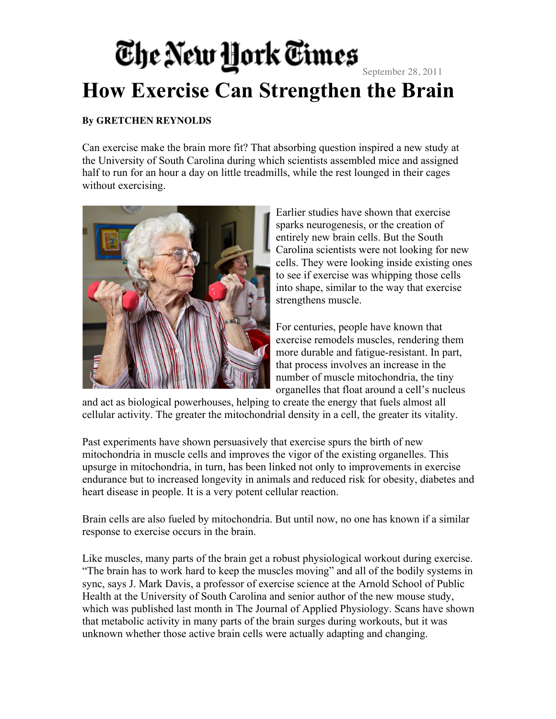## The New York Times September 28, 2011 **How Exercise Can Strengthen the Brain**

## **By GRETCHEN REYNOLDS**

Can exercise make the brain more fit? That absorbing question inspired a new study at the University of South Carolina during which scientists assembled mice and assigned half to run for an hour a day on little treadmills, while the rest lounged in their cages without exercising.



Earlier studies have shown that exercise sparks neurogenesis, or the creation of entirely new brain cells. But the South Carolina scientists were not looking for new cells. They were looking inside existing ones to see if exercise was whipping those cells into shape, similar to the way that exercise strengthens muscle.

For centuries, people have known that exercise remodels muscles, rendering them more durable and fatigue-resistant. In part, that process involves an increase in the number of muscle mitochondria, the tiny organelles that float around a cell's nucleus

and act as biological powerhouses, helping to create the energy that fuels almost all cellular activity. The greater the mitochondrial density in a cell, the greater its vitality.

Past experiments have shown persuasively that exercise spurs the birth of new mitochondria in muscle cells and improves the vigor of the existing organelles. This upsurge in mitochondria, in turn, has been linked not only to improvements in exercise endurance but to increased longevity in animals and reduced risk for obesity, diabetes and heart disease in people. It is a very potent cellular reaction.

Brain cells are also fueled by mitochondria. But until now, no one has known if a similar response to exercise occurs in the brain.

Like muscles, many parts of the brain get a robust physiological workout during exercise. "The brain has to work hard to keep the muscles moving" and all of the bodily systems in sync, says J. Mark Davis, a professor of exercise science at the Arnold School of Public Health at the University of South Carolina and senior author of the new mouse study, which was published last month in The Journal of Applied Physiology. Scans have shown that metabolic activity in many parts of the brain surges during workouts, but it was unknown whether those active brain cells were actually adapting and changing.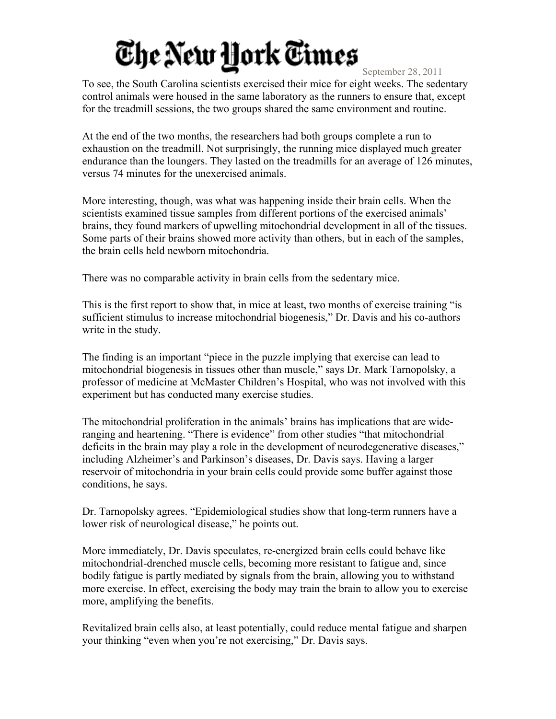## The New York Times

September 28, 2011

To see, the South Carolina scientists exercised their mice for eight weeks. The sedentary control animals were housed in the same laboratory as the runners to ensure that, except for the treadmill sessions, the two groups shared the same environment and routine.

At the end of the two months, the researchers had both groups complete a run to exhaustion on the treadmill. Not surprisingly, the running mice displayed much greater endurance than the loungers. They lasted on the treadmills for an average of 126 minutes, versus 74 minutes for the unexercised animals.

More interesting, though, was what was happening inside their brain cells. When the scientists examined tissue samples from different portions of the exercised animals' brains, they found markers of upwelling mitochondrial development in all of the tissues. Some parts of their brains showed more activity than others, but in each of the samples, the brain cells held newborn mitochondria.

There was no comparable activity in brain cells from the sedentary mice.

This is the first report to show that, in mice at least, two months of exercise training "is sufficient stimulus to increase mitochondrial biogenesis," Dr. Davis and his co-authors write in the study.

The finding is an important "piece in the puzzle implying that exercise can lead to mitochondrial biogenesis in tissues other than muscle," says Dr. Mark Tarnopolsky, a professor of medicine at McMaster Children's Hospital, who was not involved with this experiment but has conducted many exercise studies.

The mitochondrial proliferation in the animals' brains has implications that are wideranging and heartening. "There is evidence" from other studies "that mitochondrial deficits in the brain may play a role in the development of neurodegenerative diseases," including Alzheimer's and Parkinson's diseases, Dr. Davis says. Having a larger reservoir of mitochondria in your brain cells could provide some buffer against those conditions, he says.

Dr. Tarnopolsky agrees. "Epidemiological studies show that long-term runners have a lower risk of neurological disease," he points out.

More immediately, Dr. Davis speculates, re-energized brain cells could behave like mitochondrial-drenched muscle cells, becoming more resistant to fatigue and, since bodily fatigue is partly mediated by signals from the brain, allowing you to withstand more exercise. In effect, exercising the body may train the brain to allow you to exercise more, amplifying the benefits.

Revitalized brain cells also, at least potentially, could reduce mental fatigue and sharpen your thinking "even when you're not exercising," Dr. Davis says.